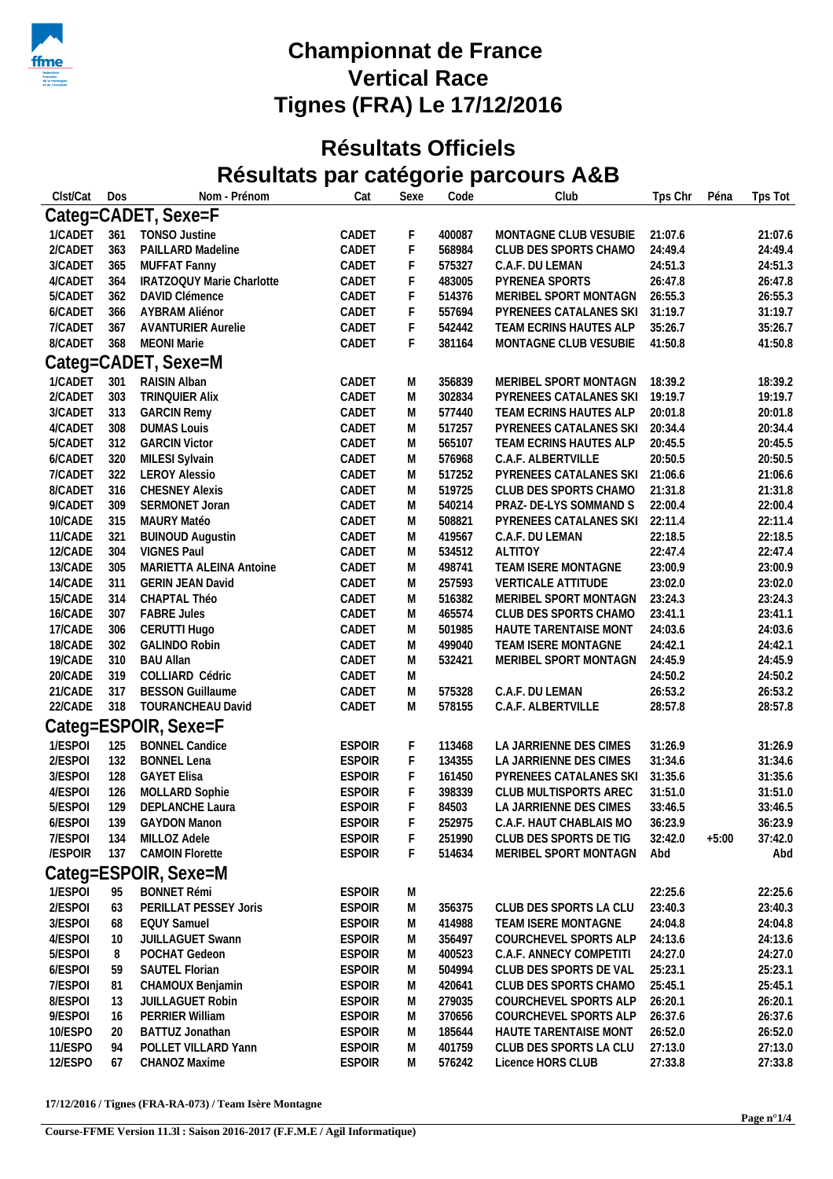

## **Championnat de France Vertical Race Tignes (FRA) Le 17/12/2016**

## **Résultats Officiels Résultats par catégorie parcours A&B**

| Clst/Cat | Dos | Nom - Prénom              | Cat           | Sexe | Code   | Club                      | Tps Chr | Péna    | Tps Tot |  |
|----------|-----|---------------------------|---------------|------|--------|---------------------------|---------|---------|---------|--|
|          |     | Categ=CADET, Sexe=F       |               |      |        |                           |         |         |         |  |
| 1/CADET  | 361 | <b>TONSO Justine</b>      | CADET         | F    | 400087 | MONTAGNE CLUB VESUBIE     | 21:07.6 |         | 21:07.6 |  |
| 2/CADET  | 363 | PAILLARD Madeline         | CADET         | F    | 568984 | CLUB DES SPORTS CHAMO     | 24:49.4 |         | 24:49.4 |  |
| 3/CADET  | 365 | MUFFAT Fanny              | CADET         | F    | 575327 | C.A.F. DU LEMAN           | 24:51.3 |         | 24:51.3 |  |
| 4/CADET  | 364 | IRATZOQUY Marie Charlotte | CADET         | F    | 483005 | PYRENEA SPORTS            | 26:47.8 |         | 26:47.8 |  |
| 5/CADET  | 362 | DAVID Clémence            | CADET         | F    | 514376 | MERIBEL SPORT MONTAGN     | 26:55.3 |         | 26:55.3 |  |
| 6/CADET  | 366 | AYBRAM Aliénor            | CADET         | F    | 557694 | PYRENEES CATALANES SKI    | 31:19.7 |         | 31:19.7 |  |
| 7/CADET  | 367 | <b>AVANTURIER Aurelie</b> | CADET         | F    | 542442 | TEAM ECRINS HAUTES ALP    | 35:26.7 |         | 35:26.7 |  |
| 8/CADET  | 368 | <b>MEONI Marie</b>        | CADET         | F    | 381164 | MONTAGNE CLUB VESUBIE     | 41:50.8 |         | 41:50.8 |  |
|          |     | Categ=CADET, Sexe=M       |               |      |        |                           |         |         |         |  |
| 1/CADET  | 301 | RAISIN Alban              | CADET         | M    | 356839 | MERIBEL SPORT MONTAGN     | 18:39.2 |         | 18:39.2 |  |
| 2/CADET  | 303 | <b>TRINQUIER Alix</b>     | CADET         | M    | 302834 | PYRENEES CATALANES SKI    | 19:19.7 |         | 19:19.7 |  |
| 3/CADET  | 313 | <b>GARCIN Remy</b>        | CADET         | M    | 577440 | TEAM ECRINS HAUTES ALP    | 20:01.8 |         | 20:01.8 |  |
| 4/CADET  | 308 | <b>DUMAS Louis</b>        | CADET         | M    | 517257 | PYRENEES CATALANES SKI    | 20:34.4 |         | 20:34.4 |  |
| 5/CADET  | 312 | <b>GARCIN Victor</b>      | CADET         | M    | 565107 | TEAM ECRINS HAUTES ALP    | 20:45.5 |         | 20:45.5 |  |
| 6/CADET  | 320 | MILESI Sylvain            | CADET         | M    | 576968 | C.A.F. ALBERTVILLE        | 20:50.5 |         | 20:50.5 |  |
| 7/CADET  | 322 | <b>LEROY Alessio</b>      | CADET         | M    | 517252 | PYRENEES CATALANES SKI    | 21:06.6 |         | 21:06.6 |  |
| 8/CADET  | 316 | <b>CHESNEY Alexis</b>     | CADET         | M    | 519725 | CLUB DES SPORTS CHAMO     | 21:31.8 |         | 21:31.8 |  |
| 9/CADET  | 309 | SERMONET Joran            | CADET         | M    | 540214 | PRAZ- DE-LYS SOMMAND S    | 22:00.4 |         | 22:00.4 |  |
| 10/CADE  | 315 | MAURY Matéo               | CADET         | M    | 508821 | PYRENEES CATALANES SKI    | 22:11.4 |         | 22:11.4 |  |
| 11/CADE  | 321 | <b>BUINOUD Augustin</b>   | CADET         | M    | 419567 | C.A.F. DU LEMAN           | 22:18.5 |         | 22:18.5 |  |
| 12/CADE  | 304 | <b>VIGNES Paul</b>        | CADET         | M    | 534512 | <b>ALTITOY</b>            | 22:47.4 |         | 22:47.4 |  |
| 13/CADE  | 305 | MARIETTA ALEINA Antoine   | CADET         | M    | 498741 | TEAM ISERE MONTAGNE       | 23:00.9 |         | 23:00.9 |  |
| 14/CADE  | 311 | <b>GERIN JEAN David</b>   | CADET         | M    | 257593 | <b>VERTICALE ATTITUDE</b> | 23:02.0 |         | 23:02.0 |  |
| 15/CADE  | 314 | CHAPTAL Théo              | CADET         | M    | 516382 | MERIBEL SPORT MONTAGN     | 23:24.3 |         | 23:24.3 |  |
| 16/CADE  | 307 | <b>FABRE Jules</b>        | CADET         | M    | 465574 | CLUB DES SPORTS CHAMO     | 23:41.1 |         | 23:41.1 |  |
| 17/CADE  | 306 | CERUTTI Hugo              | CADET         | M    | 501985 | HAUTE TARENTAISE MONT     | 24:03.6 |         | 24:03.6 |  |
| 18/CADE  | 302 | <b>GALINDO Robin</b>      | CADET         | M    | 499040 | TEAM ISERE MONTAGNE       | 24:42.1 |         | 24:42.1 |  |
| 19/CADE  | 310 | <b>BAU Allan</b>          | CADET         | M    | 532421 | MERIBEL SPORT MONTAGN     | 24:45.9 |         | 24:45.9 |  |
| 20/CADE  | 319 | COLLIARD Cédric           | CADET         | M    |        |                           | 24:50.2 |         | 24:50.2 |  |
| 21/CADE  | 317 | <b>BESSON Guillaume</b>   | CADET         | M    | 575328 | C.A.F. DU LEMAN           | 26:53.2 |         | 26:53.2 |  |
| 22/CADE  | 318 | TOURANCHEAU David         | CADET         | M    | 578155 | C.A.F. ALBERTVILLE        | 28:57.8 |         | 28:57.8 |  |
|          |     | Categ=ESPOIR, Sexe=F      |               |      |        |                           |         |         |         |  |
| 1/ESPOI  | 125 | <b>BONNEL Candice</b>     | <b>ESPOIR</b> | F    | 113468 | LA JARRIENNE DES CIMES    | 31:26.9 |         | 31:26.9 |  |
| 2/ESPOI  | 132 | <b>BONNEL Lena</b>        | <b>ESPOIR</b> | F    | 134355 | LA JARRIENNE DES CIMES    | 31:34.6 |         | 31:34.6 |  |
| 3/ESPOI  | 128 | <b>GAYET Elisa</b>        | <b>ESPOIR</b> | F    | 161450 | PYRENEES CATALANES SKI    | 31:35.6 |         | 31:35.6 |  |
| 4/ESPOI  | 126 | MOLLARD Sophie            | <b>ESPOIR</b> | F    | 398339 | CLUB MULTISPORTS AREC     | 31:51.0 |         | 31:51.0 |  |
| 5/ESPOI  | 129 | DEPLANCHE Laura           | <b>ESPOIR</b> | F    | 84503  | LA JARRIENNE DES CIMES    | 33:46.5 |         | 33:46.5 |  |
| 6/ESPOI  | 139 | <b>GAYDON Manon</b>       | <b>ESPOIR</b> | F    | 252975 | C.A.F. HAUT CHABLAIS MO   | 36:23.9 |         | 36:23.9 |  |
| 7/ESPOI  | 134 | MILLOZ Adele              | <b>ESPOIR</b> | F    | 251990 | CLUB DES SPORTS DE TIG    | 32:42.0 | $+5:00$ | 37:42.0 |  |
| /ESPOIR  | 137 | <b>CAMOIN Florette</b>    | <b>ESPOIR</b> | F    | 514634 | MERIBEL SPORT MONTAGN     | Abd     |         | Abd     |  |
|          |     | Categ=ESPOIR, Sexe=M      |               |      |        |                           |         |         |         |  |
|          |     |                           |               |      |        |                           |         |         |         |  |
| 1/ESPOI  | 95  | <b>BONNET Rémi</b>        | <b>ESPOIR</b> | M    |        |                           | 22:25.6 |         | 22:25.6 |  |
| 2/ESPOI  | 63  | PERILLAT PESSEY Joris     | <b>ESPOIR</b> | M    | 356375 | CLUB DES SPORTS LA CLU    | 23:40.3 |         | 23:40.3 |  |
| 3/ESPOI  | 68  | <b>EQUY Samuel</b>        | <b>ESPOIR</b> | M    | 414988 | TEAM ISERE MONTAGNE       | 24:04.8 |         | 24:04.8 |  |
| 4/ESPOI  | 10  | JUILLAGUET Swann          | <b>ESPOIR</b> | M    | 356497 | COURCHEVEL SPORTS ALP     | 24:13.6 |         | 24:13.6 |  |
| 5/ESPOI  | 8   | POCHAT Gedeon             | <b>ESPOIR</b> | M    | 400523 | C.A.F. ANNECY COMPETITI   | 24:27.0 |         | 24:27.0 |  |
| 6/ESPOI  | 59  | SAUTEL Florian            | <b>ESPOIR</b> | M    | 504994 | CLUB DES SPORTS DE VAL    | 25:23.1 |         | 25:23.1 |  |
| 7/ESPOI  | 81  | CHAMOUX Benjamin          | <b>ESPOIR</b> | M    | 420641 | CLUB DES SPORTS CHAMO     | 25:45.1 |         | 25:45.1 |  |
| 8/ESPOI  | 13  | <b>JUILLAGUET Robin</b>   | <b>ESPOIR</b> | M    | 279035 | COURCHEVEL SPORTS ALP     | 26:20.1 |         | 26:20.1 |  |
| 9/ESPOI  | 16  | PERRIER William           | <b>ESPOIR</b> | M    | 370656 | COURCHEVEL SPORTS ALP     | 26:37.6 |         | 26:37.6 |  |
| 10/ESPO  | 20  | BATTUZ Jonathan           | <b>ESPOIR</b> | M    | 185644 | HAUTE TARENTAISE MONT     | 26:52.0 |         | 26:52.0 |  |
| 11/ESPO  | 94  | POLLET VILLARD Yann       | <b>ESPOIR</b> | M    | 401759 | CLUB DES SPORTS LA CLU    | 27:13.0 |         | 27:13.0 |  |
| 12/ESPO  | 67  | CHANOZ Maxime             | <b>ESPOIR</b> | M    | 576242 | Licence HORS CLUB         | 27:33.8 |         | 27:33.8 |  |

**17/12/2016 / Tignes (FRA-RA-073) / Team Isère Montagne**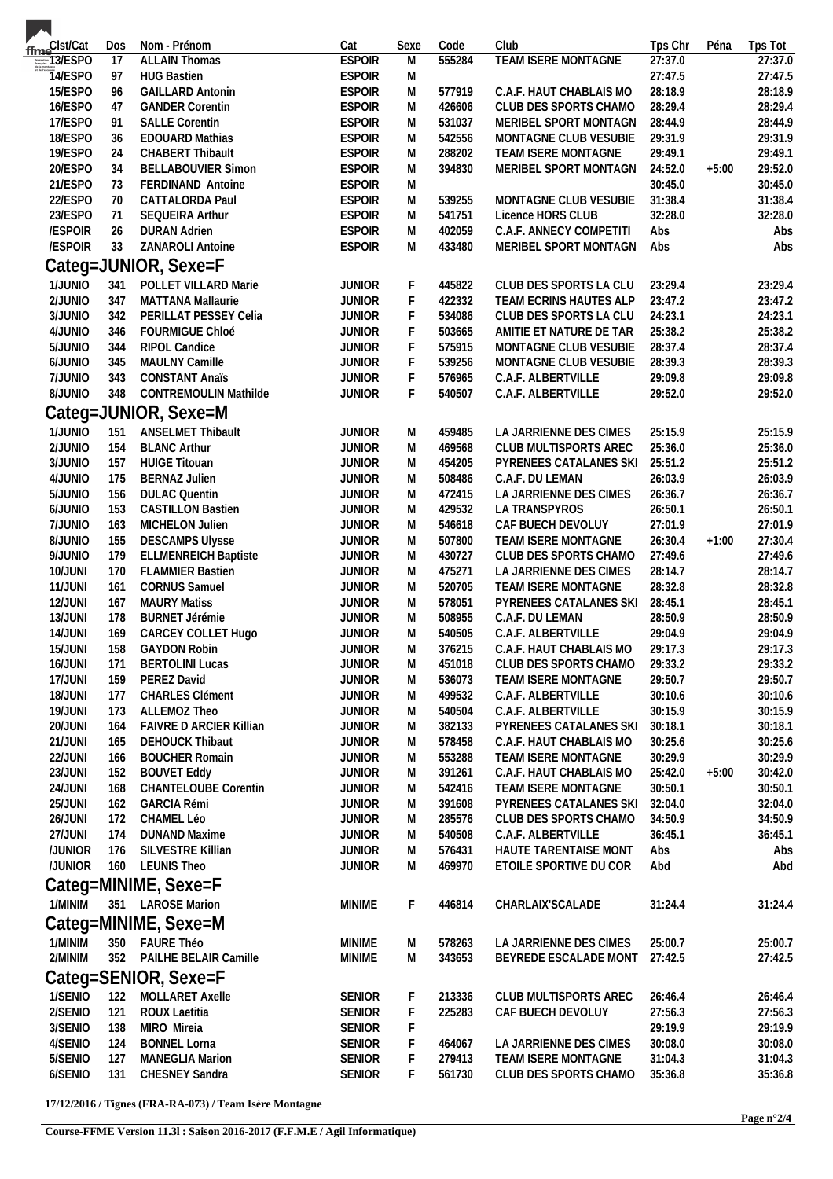| ffme <sup>Clst/Cat</sup>        | Dos             | Nom - Prénom                   | Cat           | Sexe      | Code   | Club                       | Tps Chr | Péna    | Tps Tot |
|---------------------------------|-----------------|--------------------------------|---------------|-----------|--------|----------------------------|---------|---------|---------|
| $\frac{1}{\frac{1}{2} \cdot 1}$ | $\overline{17}$ | <b>ALLAIN Thomas</b>           | <b>ESPOIR</b> | M         | 555284 | <b>TEAM ISERE MONTAGNE</b> | 27:37.0 |         | 27:37.0 |
| <b>T4/ESPO</b>                  | 97              | <b>HUG Bastien</b>             | <b>ESPOIR</b> | M         |        |                            | 27:47.5 |         | 27:47.5 |
| 15/ESPO                         | 96              | <b>GAILLARD Antonin</b>        | <b>ESPOIR</b> | M         | 577919 | C.A.F. HAUT CHABLAIS MO    | 28:18.9 |         | 28:18.9 |
| 16/ESPO                         | 47              | <b>GANDER Corentin</b>         | <b>ESPOIR</b> | M         | 426606 | CLUB DES SPORTS CHAMO      | 28:29.4 |         | 28:29.4 |
| 17/ESPO                         | 91              | <b>SALLE Corentin</b>          | <b>ESPOIR</b> | M         | 531037 | MERIBEL SPORT MONTAGN      | 28:44.9 |         | 28:44.9 |
| 18/ESPO                         | 36              | <b>EDOUARD Mathias</b>         | <b>ESPOIR</b> | ${\sf M}$ | 542556 | MONTAGNE CLUB VESUBIE      | 29:31.9 |         | 29:31.9 |
| 19/ESPO                         | 24              | <b>CHABERT Thibault</b>        | <b>ESPOIR</b> | M         | 288202 | TEAM ISERE MONTAGNE        | 29:49.1 |         | 29:49.1 |
| 20/ESPO                         | 34              | <b>BELLABOUVIER Simon</b>      | <b>ESPOIR</b> | M         | 394830 | MERIBEL SPORT MONTAGN      | 24:52.0 | $+5:00$ | 29:52.0 |
| 21/ESPO                         | 73              | FERDINAND Antoine              | <b>ESPOIR</b> | M         |        |                            | 30:45.0 |         | 30:45.0 |
| 22/ESPO                         | 70              | <b>CATTALORDA Paul</b>         | <b>ESPOIR</b> | M         | 539255 | MONTAGNE CLUB VESUBIE      | 31:38.4 |         | 31:38.4 |
| 23/ESPO                         | 71              | SEQUEIRA Arthur                | <b>ESPOIR</b> | M         | 541751 | Licence HORS CLUB          | 32:28.0 |         | 32:28.0 |
| /ESPOIR                         | 26              | <b>DURAN Adrien</b>            | <b>ESPOIR</b> | M         | 402059 | C.A.F. ANNECY COMPETITI    | Abs     |         | Abs     |
| /ESPOIR                         | 33              | ZANAROLI Antoine               | <b>ESPOIR</b> | M         | 433480 | MERIBEL SPORT MONTAGN      | Abs     |         | Abs     |
|                                 |                 | Categ=JUNIOR, Sexe=F           |               |           |        |                            |         |         |         |
| 1/JUNIO                         | 341             | POLLET VILLARD Marie           | <b>JUNIOR</b> | F         | 445822 | CLUB DES SPORTS LA CLU     | 23:29.4 |         | 23:29.4 |
| 2/JUNIO                         | 347             | <b>MATTANA Mallaurie</b>       | <b>JUNIOR</b> | F         | 422332 | TEAM ECRINS HAUTES ALP     | 23:47.2 |         | 23:47.2 |
| 3/JUNIO                         | 342             | PERILLAT PESSEY Celia          | <b>JUNIOR</b> | F         | 534086 | CLUB DES SPORTS LA CLU     | 24:23.1 |         | 24:23.1 |
| 4/JUNIO                         | 346             | FOURMIGUE Chloé                | <b>JUNIOR</b> | F         | 503665 | AMITIE ET NATURE DE TAR    | 25:38.2 |         | 25:38.2 |
| 5/JUNIO                         | 344             | <b>RIPOL Candice</b>           | <b>JUNIOR</b> | F         | 575915 | MONTAGNE CLUB VESUBIE      | 28:37.4 |         | 28:37.4 |
| 6/JUNIO                         | 345             | MAULNY Camille                 | <b>JUNIOR</b> | F         | 539256 | MONTAGNE CLUB VESUBIE      | 28:39.3 |         | 28:39.3 |
| 7/JUNIO                         | 343             | <b>CONSTANT Anaïs</b>          | <b>JUNIOR</b> | F         | 576965 | C.A.F. ALBERTVILLE         | 29:09.8 |         | 29:09.8 |
| 8/JUNIO                         | 348             | <b>CONTREMOULIN Mathilde</b>   | <b>JUNIOR</b> | F         | 540507 | C.A.F. ALBERTVILLE         | 29:52.0 |         | 29:52.0 |
|                                 |                 |                                |               |           |        |                            |         |         |         |
|                                 |                 | Categ=JUNIOR, Sexe=M           |               |           |        |                            |         |         |         |
| 1/JUNIO                         | 151             | <b>ANSELMET Thibault</b>       | <b>JUNIOR</b> | M         | 459485 | LA JARRIENNE DES CIMES     | 25:15.9 |         | 25:15.9 |
| 2/JUNIO                         | 154             | <b>BLANC Arthur</b>            | <b>JUNIOR</b> | M         | 469568 | CLUB MULTISPORTS AREC      | 25:36.0 |         | 25:36.0 |
| 3/JUNIO                         | 157             | <b>HUIGE Titouan</b>           | <b>JUNIOR</b> | M         | 454205 | PYRENEES CATALANES SKI     | 25:51.2 |         | 25:51.2 |
| 4/JUNIO                         | 175             | <b>BERNAZ Julien</b>           | <b>JUNIOR</b> | M         | 508486 | C.A.F. DU LEMAN            | 26:03.9 |         | 26:03.9 |
| 5/JUNIO                         | 156             | <b>DULAC Quentin</b>           | <b>JUNIOR</b> | M         | 472415 | LA JARRIENNE DES CIMES     | 26:36.7 |         | 26:36.7 |
| 6/JUNIO                         | 153             | <b>CASTILLON Bastien</b>       | <b>JUNIOR</b> | M         | 429532 | LA TRANSPYROS              | 26:50.1 |         | 26:50.1 |
| 7/JUNIO                         | 163             | MICHELON Julien                | <b>JUNIOR</b> | M         | 546618 | CAF BUECH DEVOLUY          | 27:01.9 |         | 27:01.9 |
| 8/JUNIO                         | 155             | <b>DESCAMPS Ulysse</b>         | <b>JUNIOR</b> | M         | 507800 | TEAM ISERE MONTAGNE        | 26:30.4 | $+1:00$ | 27:30.4 |
| 9/JUNIO                         | 179             | <b>ELLMENREICH Baptiste</b>    | <b>JUNIOR</b> | M         | 430727 | CLUB DES SPORTS CHAMO      | 27:49.6 |         | 27:49.6 |
| 10/JUNI                         | 170             | <b>FLAMMIER Bastien</b>        | <b>JUNIOR</b> | M         | 475271 | LA JARRIENNE DES CIMES     | 28:14.7 |         | 28:14.7 |
| 11/JUNI                         | 161             | <b>CORNUS Samuel</b>           | <b>JUNIOR</b> | M         | 520705 | TEAM ISERE MONTAGNE        | 28:32.8 |         | 28:32.8 |
| 12/JUNI                         | 167             | <b>MAURY Matiss</b>            | <b>JUNIOR</b> | M         | 578051 | PYRENEES CATALANES SKI     | 28:45.1 |         | 28:45.1 |
| 13/JUNI                         | 178             | <b>BURNET Jérémie</b>          | <b>JUNIOR</b> | M         | 508955 | C.A.F. DU LEMAN            | 28:50.9 |         | 28:50.9 |
| 14/JUNI                         | 169             | CARCEY COLLET Hugo             | <b>JUNIOR</b> | M         | 540505 | C.A.F. ALBERTVILLE         | 29:04.9 |         | 29:04.9 |
| 15/JUNI                         | 158             | <b>GAYDON Robin</b>            | <b>JUNIOR</b> | M         | 376215 | C.A.F. HAUT CHABLAIS MO    | 29:17.3 |         | 29:17.3 |
| 16/JUNI                         |                 | 171 BERTOLINI Lucas            | JUNIOR        | M         | 451018 | CLUB DES SPORTS CHAMO      | 29:33.2 |         | 29:33.2 |
| 17/JUNI                         | 159             | PEREZ David                    | <b>JUNIOR</b> | M         | 536073 | TEAM ISERE MONTAGNE        | 29:50.7 |         | 29:50.7 |
| 18/JUNI                         | 177             | CHARLES Clément                | <b>JUNIOR</b> | M         | 499532 | C.A.F. ALBERTVILLE         | 30:10.6 |         | 30:10.6 |
| 19/JUNI                         | 173             | ALLEMOZ Theo                   | <b>JUNIOR</b> | M         | 540504 | C.A.F. ALBERTVILLE         | 30:15.9 |         | 30:15.9 |
| 20/JUNI                         | 164             | <b>FAIVRE D ARCIER Killian</b> | <b>JUNIOR</b> | M         | 382133 | PYRENEES CATALANES SKI     | 30:18.1 |         | 30:18.1 |
| 21/JUNI                         | 165             | DEHOUCK Thibaut                | <b>JUNIOR</b> | M         | 578458 | C.A.F. HAUT CHABLAIS MO    | 30:25.6 |         | 30:25.6 |
| 22/JUNI                         | 166             | <b>BOUCHER Romain</b>          | <b>JUNIOR</b> | M         | 553288 | TEAM ISERE MONTAGNE        | 30:29.9 |         | 30:29.9 |
| 23/JUNI                         | 152             | <b>BOUVET Eddy</b>             | <b>JUNIOR</b> | M         | 391261 | C.A.F. HAUT CHABLAIS MO    | 25:42.0 | $+5:00$ | 30:42.0 |
| 24/JUNI                         | 168             | CHANTELOUBE Corentin           | <b>JUNIOR</b> | M         | 542416 | TEAM ISERE MONTAGNE        | 30:50.1 |         | 30:50.1 |
| 25/JUNI                         | 162             | <b>GARCIA Rémi</b>             | <b>JUNIOR</b> | M         | 391608 | PYRENEES CATALANES SKI     | 32:04.0 |         | 32:04.0 |
| 26/JUNI                         | 172             | CHAMEL Léo                     | <b>JUNIOR</b> | M         | 285576 | CLUB DES SPORTS CHAMO      | 34:50.9 |         | 34:50.9 |
| 27/JUNI                         | 174             | <b>DUNAND Maxime</b>           | <b>JUNIOR</b> | M         | 540508 | C.A.F. ALBERTVILLE         | 36:45.1 |         | 36:45.1 |
| /JUNIOR                         |                 | 176 SILVESTRE Killian          | <b>JUNIOR</b> | M         | 576431 | HAUTE TARENTAISE MONT      | Abs     |         | Abs     |
| /JUNIOR                         |                 | 160 LEUNIS Theo                | <b>JUNIOR</b> | M         | 469970 | ETOILE SPORTIVE DU COR     | Abd     |         | Abd     |
|                                 |                 | Categ=MINIME, Sexe=F           |               |           |        |                            |         |         |         |
| 1/MINIM                         |                 | 351 LAROSE Marion              | <b>MINIME</b> | F.        | 446814 | CHARLAIX'SCALADE           | 31:24.4 |         | 31:24.4 |
|                                 |                 |                                |               |           |        |                            |         |         |         |
|                                 |                 | Categ=MINIME, Sexe=M           |               |           |        |                            |         |         |         |
| 1/MINIM                         |                 | 350 FAURE Théo                 | <b>MINIME</b> | M         | 578263 | LA JARRIENNE DES CIMES     | 25:00.7 |         | 25:00.7 |
| 2/MINIM                         |                 | 352 PAILHE BELAIR Camille      | <b>MINIME</b> | M         | 343653 | BEYREDE ESCALADE MONT      | 27:42.5 |         | 27:42.5 |
|                                 |                 | Categ=SENIOR, Sexe=F           |               |           |        |                            |         |         |         |
|                                 |                 |                                |               |           |        |                            |         |         |         |
| 1/SENIO                         | 122             | MOLLARET Axelle                | <b>SENIOR</b> | F.        | 213336 | CLUB MULTISPORTS AREC      | 26:46.4 |         | 26:46.4 |
| 2/SENIO                         | 121             | ROUX Laetitia                  | SENIOR        | F         | 225283 | CAF BUECH DEVOLUY          | 27:56.3 |         | 27:56.3 |
| 3/SENIO                         | 138             | MIRO Mireia                    | SENIOR        | F         |        |                            | 29:19.9 |         | 29:19.9 |
| 4/SENIO                         | 124             | <b>BONNEL Lorna</b>            | <b>SENIOR</b> | F         | 464067 | LA JARRIENNE DES CIMES     | 30:08.0 |         | 30:08.0 |
| 5/SENIO                         | 127             | MANEGLIA Marion                | <b>SENIOR</b> | F         | 279413 | TEAM ISERE MONTAGNE        | 31:04.3 |         | 31:04.3 |
| 6/SENIO                         | 131             | CHESNEY Sandra                 | <b>SENIOR</b> | F.        | 561730 | CLUB DES SPORTS CHAMO      | 35:36.8 |         | 35:36.8 |
|                                 |                 |                                |               |           |        |                            |         |         |         |

**17/12/2016 / Tignes (FRA-RA-073) / Team Isère Montagne**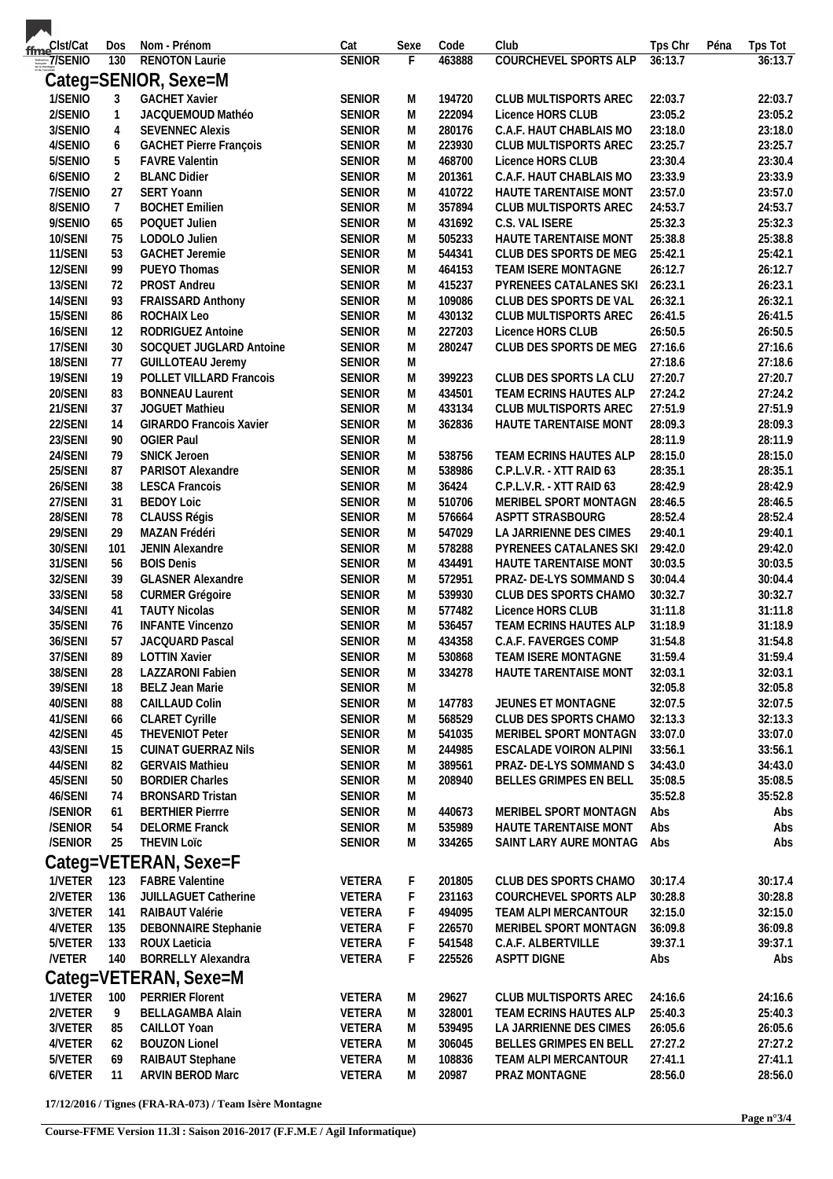| fme <sup>Clst/Cat</sup> | Dos              | Nom - Prénom                   | Cat           | Sexe      | Code   | Club                         | Tps Chr | Péna | Tps Tot |
|-------------------------|------------------|--------------------------------|---------------|-----------|--------|------------------------------|---------|------|---------|
|                         | 130              | <b>RENOTON Laurie</b>          | <b>SENIOR</b> | F         | 463888 | <b>COURCHEVEL SPORTS ALP</b> | 36:13.7 |      | 36:13.7 |
|                         |                  | Categ=SENIOR, Sexe=M           |               |           |        |                              |         |      |         |
|                         |                  |                                |               |           |        |                              |         |      |         |
| 1/SENIO                 | 3                | <b>GACHET Xavier</b>           | SENIOR        | M         | 194720 | CLUB MULTISPORTS AREC        | 22:03.7 |      | 22:03.7 |
| 2/SENIO                 | $\mathbf{1}$     | JACQUEMOUD Mathéo              | <b>SENIOR</b> | M         | 222094 | Licence HORS CLUB            | 23:05.2 |      | 23:05.2 |
| 3/SENIO                 | $\overline{4}$   | <b>SEVENNEC Alexis</b>         | <b>SENIOR</b> | M         | 280176 | C.A.F. HAUT CHABLAIS MO      | 23:18.0 |      | 23:18.0 |
| 4/SENIO                 | $\boldsymbol{6}$ | GACHET Pierre François         | <b>SENIOR</b> | M         | 223930 | CLUB MULTISPORTS AREC        | 23:25.7 |      | 23:25.7 |
| 5/SENIO                 | 5                | <b>FAVRE Valentin</b>          | <b>SENIOR</b> | M         | 468700 | Licence HORS CLUB            | 23:30.4 |      | 23:30.4 |
| 6/SENIO                 | $\overline{2}$   | <b>BLANC Didier</b>            | <b>SENIOR</b> | M         | 201361 | C.A.F. HAUT CHABLAIS MO      | 23:33.9 |      | 23:33.9 |
| 7/SENIO                 | 27               | SERT Yoann                     | <b>SENIOR</b> | M         | 410722 | HAUTE TARENTAISE MONT        | 23:57.0 |      | 23:57.0 |
| 8/SENIO                 | $\overline{7}$   | <b>BOCHET Emilien</b>          | <b>SENIOR</b> | M         | 357894 | CLUB MULTISPORTS AREC        | 24:53.7 |      | 24:53.7 |
| 9/SENIO                 | 65               | POQUET Julien                  | <b>SENIOR</b> | M         | 431692 | C.S. VAL ISERE               | 25:32.3 |      | 25:32.3 |
| 10/SENI                 | 75               | LODOLO Julien                  | <b>SENIOR</b> | Μ         | 505233 | HAUTE TARENTAISE MONT        | 25:38.8 |      | 25:38.8 |
| 11/SENI                 | 53               | <b>GACHET Jeremie</b>          | <b>SENIOR</b> | M         | 544341 | CLUB DES SPORTS DE MEG       | 25:42.1 |      | 25:42.1 |
| 12/SENI                 | 99               | PUEYO Thomas                   | <b>SENIOR</b> | M         | 464153 | TEAM ISERE MONTAGNE          | 26:12.7 |      | 26:12.7 |
| 13/SENI                 | 72               | PROST Andreu                   | SENIOR        | M         | 415237 | PYRENEES CATALANES SKI       | 26:23.1 |      | 26:23.1 |
| 14/SENI                 | 93               | FRAISSARD Anthony              | SENIOR        | M         | 109086 | CLUB DES SPORTS DE VAL       | 26:32.1 |      | 26:32.1 |
| 15/SENI                 | 86               | ROCHAIX Leo                    | SENIOR        | M         | 430132 | CLUB MULTISPORTS AREC        | 26:41.5 |      | 26:41.5 |
| 16/SENI                 | 12               | RODRIGUEZ Antoine              | <b>SENIOR</b> | M         | 227203 | Licence HORS CLUB            | 26:50.5 |      | 26:50.5 |
| 17/SENI                 | 30               | SOCQUET JUGLARD Antoine        | SENIOR        | ${\sf M}$ | 280247 | CLUB DES SPORTS DE MEG       | 27:16.6 |      | 27:16.6 |
| 18/SENI                 | 77               | <b>GUILLOTEAU Jeremy</b>       | <b>SENIOR</b> | M         |        |                              | 27:18.6 |      | 27:18.6 |
| 19/SENI                 |                  | POLLET VILLARD Francois        | <b>SENIOR</b> |           | 399223 | CLUB DES SPORTS LA CLU       | 27:20.7 |      | 27:20.7 |
|                         | 19               |                                |               | M         |        |                              |         |      |         |
| 20/SENI                 | 83               | <b>BONNEAU Laurent</b>         | <b>SENIOR</b> | M         | 434501 | TEAM ECRINS HAUTES ALP       | 27:24.2 |      | 27:24.2 |
| 21/SENI                 | 37               | JOGUET Mathieu                 | SENIOR        | M         | 433134 | CLUB MULTISPORTS AREC        | 27:51.9 |      | 27:51.9 |
| 22/SENI                 | 14               | <b>GIRARDO Francois Xavier</b> | <b>SENIOR</b> | M         | 362836 | HAUTE TARENTAISE MONT        | 28:09.3 |      | 28:09.3 |
| 23/SENI                 | 90               | <b>OGIER Paul</b>              | <b>SENIOR</b> | ${\sf M}$ |        |                              | 28:11.9 |      | 28:11.9 |
| 24/SENI                 | 79               | <b>SNICK Jeroen</b>            | SENIOR        | M         | 538756 | TEAM ECRINS HAUTES ALP       | 28:15.0 |      | 28:15.0 |
| 25/SENI                 | 87               | PARISOT Alexandre              | <b>SENIOR</b> | M         | 538986 | C.P.L.V.R. - XTT RAID 63     | 28:35.1 |      | 28:35.1 |
| 26/SENI                 | 38               | <b>LESCA Francois</b>          | <b>SENIOR</b> | M         | 36424  | C.P.L.V.R. - XTT RAID 63     | 28:42.9 |      | 28:42.9 |
| 27/SENI                 | 31               | <b>BEDOY Loic</b>              | <b>SENIOR</b> | M         | 510706 | MERIBEL SPORT MONTAGN        | 28:46.5 |      | 28:46.5 |
| 28/SENI                 | 78               | CLAUSS Régis                   | <b>SENIOR</b> | M         | 576664 | ASPTT STRASBOURG             | 28:52.4 |      | 28:52.4 |
| 29/SENI                 | 29               | MAZAN Frédéri                  | <b>SENIOR</b> | M         | 547029 | LA JARRIENNE DES CIMES       | 29:40.1 |      | 29:40.1 |
| 30/SENI                 | 101              | JENIN Alexandre                | <b>SENIOR</b> | M         | 578288 | PYRENEES CATALANES SKI       | 29:42.0 |      | 29:42.0 |
| 31/SENI                 | 56               | <b>BOIS Denis</b>              | <b>SENIOR</b> | M         | 434491 | HAUTE TARENTAISE MONT        | 30:03.5 |      | 30:03.5 |
| 32/SENI                 | 39               | <b>GLASNER Alexandre</b>       | <b>SENIOR</b> | M         | 572951 | PRAZ- DE-LYS SOMMAND S       | 30:04.4 |      | 30:04.4 |
| 33/SENI                 | 58               | <b>CURMER Grégoire</b>         | <b>SENIOR</b> | M         | 539930 | CLUB DES SPORTS CHAMO        | 30:32.7 |      | 30:32.7 |
| 34/SENI                 | 41               | <b>TAUTY Nicolas</b>           | <b>SENIOR</b> | M         | 577482 | Licence HORS CLUB            | 31:11.8 |      | 31:11.8 |
| 35/SENI                 | 76               | <b>INFANTE Vincenzo</b>        | <b>SENIOR</b> | M         | 536457 | TEAM ECRINS HAUTES ALP       | 31:18.9 |      | 31:18.9 |
| 36/SENI                 | 57               | JACQUARD Pascal                | <b>SENIOR</b> | M         | 434358 | C.A.F. FAVERGES COMP         | 31:54.8 |      | 31:54.8 |
| 37/SENI                 | 89               | <b>LOTTIN Xavier</b>           | <b>SENIOR</b> | M         | 530868 | TEAM ISERE MONTAGNE          | 31:59.4 |      | 31:59.4 |
| 38/SENI                 | 28               | LAZZARONI Fabien               | <b>SENIOR</b> | M         | 334278 | HAUTE TARENTAISE MONT        | 32:03.1 |      | 32:03.1 |
|                         |                  |                                |               |           |        |                              |         |      |         |
| 39/SENI                 | 18               | <b>BELZ Jean Marie</b>         | <b>SENIOR</b> | M         |        |                              | 32:05.8 |      | 32:05.8 |
| 40/SENI                 | 88               | CAILLAUD Colin                 | <b>SENIOR</b> | M         | 147783 | JEUNES ET MONTAGNE           | 32:07.5 |      | 32:07.5 |
| 41/SENI                 | 66               | <b>CLARET Cyrille</b>          | <b>SENIOR</b> | M         | 568529 | CLUB DES SPORTS CHAMO        | 32:13.3 |      | 32:13.3 |
| 42/SENI                 | 45               | <b>THEVENIOT Peter</b>         | <b>SENIOR</b> | M         | 541035 | MERIBEL SPORT MONTAGN        | 33:07.0 |      | 33:07.0 |
| 43/SENI                 | 15               | <b>CUINAT GUERRAZ Nils</b>     | <b>SENIOR</b> | Μ         | 244985 | ESCALADE VOIRON ALPINI       | 33:56.1 |      | 33:56.1 |
| 44/SENI                 | 82               | <b>GERVAIS Mathieu</b>         | <b>SENIOR</b> | M         | 389561 | PRAZ- DE-LYS SOMMAND S       | 34:43.0 |      | 34:43.0 |
| 45/SENI                 | 50               | <b>BORDIER Charles</b>         | <b>SENIOR</b> | M         | 208940 | BELLES GRIMPES EN BELL       | 35:08.5 |      | 35:08.5 |
| 46/SENI                 | 74               | <b>BRONSARD Tristan</b>        | <b>SENIOR</b> | M         |        |                              | 35:52.8 |      | 35:52.8 |
| /SENIOR                 | 61               | <b>BERTHIER Pierrre</b>        | <b>SENIOR</b> | M         | 440673 | MERIBEL SPORT MONTAGN        | Abs     |      | Abs     |
| /SENIOR                 | 54               | <b>DELORME</b> Franck          | <b>SENIOR</b> | Μ         | 535989 | HAUTE TARENTAISE MONT        | Abs     |      | Abs     |
| /SENIOR                 | 25               | <b>THEVIN LOTC</b>             | <b>SENIOR</b> | M         | 334265 | SAINT LARY AURE MONTAG       | Abs     |      | Abs     |
|                         |                  | Categ=VETERAN, Sexe=F          |               |           |        |                              |         |      |         |
| 1/VETER                 | 123              | <b>FABRE Valentine</b>         | VETERA        | F         | 201805 | CLUB DES SPORTS CHAMO        | 30:17.4 |      | 30:17.4 |
|                         |                  |                                |               |           |        |                              |         |      |         |
| 2/VETER                 | 136              | JUILLAGUET Catherine           | VETERA        | F         | 231163 | COURCHEVEL SPORTS ALP        | 30:28.8 |      | 30:28.8 |
| 3/VETER                 | 141              | RAIBAUT Valérie                | VETERA        | F         | 494095 | TEAM ALPI MERCANTOUR         | 32:15.0 |      | 32:15.0 |
| 4/VETER                 | 135              | DEBONNAIRE Stephanie           | VETERA        | F         | 226570 | MERIBEL SPORT MONTAGN        | 36:09.8 |      | 36:09.8 |
| 5/VETER                 | 133              | ROUX Laeticia                  | VETERA        | F         | 541548 | C.A.F. ALBERTVILLE           | 39:37.1 |      | 39:37.1 |
| <b>NETER</b>            | 140              | <b>BORRELLY Alexandra</b>      | VETERA        | F         | 225526 | ASPTT DIGNE                  | Abs     |      | Abs     |
|                         |                  | Categ=VETERAN, Sexe=M          |               |           |        |                              |         |      |         |
| 1/VETER                 | 100              | <b>PERRIER Florent</b>         | VETERA        | M         | 29627  | CLUB MULTISPORTS AREC        | 24:16.6 |      | 24:16.6 |
| 2/VETER                 | 9                | BELLAGAMBA Alain               | VETERA        | M         | 328001 | TEAM ECRINS HAUTES ALP       | 25:40.3 |      | 25:40.3 |
|                         |                  |                                |               |           |        |                              | 26:05.6 |      |         |
| 3/VETER                 | 85               | CAILLOT Yoan                   | VETERA        | M         | 539495 | LA JARRIENNE DES CIMES       |         |      | 26:05.6 |
| 4/VETER                 | 62               | <b>BOUZON Lionel</b>           | VETERA        | Μ         | 306045 | BELLES GRIMPES EN BELL       | 27:27.2 |      | 27:27.2 |
| 5/VETER                 | 69               | RAIBAUT Stephane               | <b>VETERA</b> | M         | 108836 | TEAM ALPI MERCANTOUR         | 27:41.1 |      | 27:41.1 |
| 6/VETER                 | -11              | ARVIN BEROD Marc               | <b>VETERA</b> | M         | 20987  | PRAZ MONTAGNE                | 28:56.0 |      | 28:56.0 |

**17/12/2016 / Tignes (FRA-RA-073) / Team Isère Montagne**